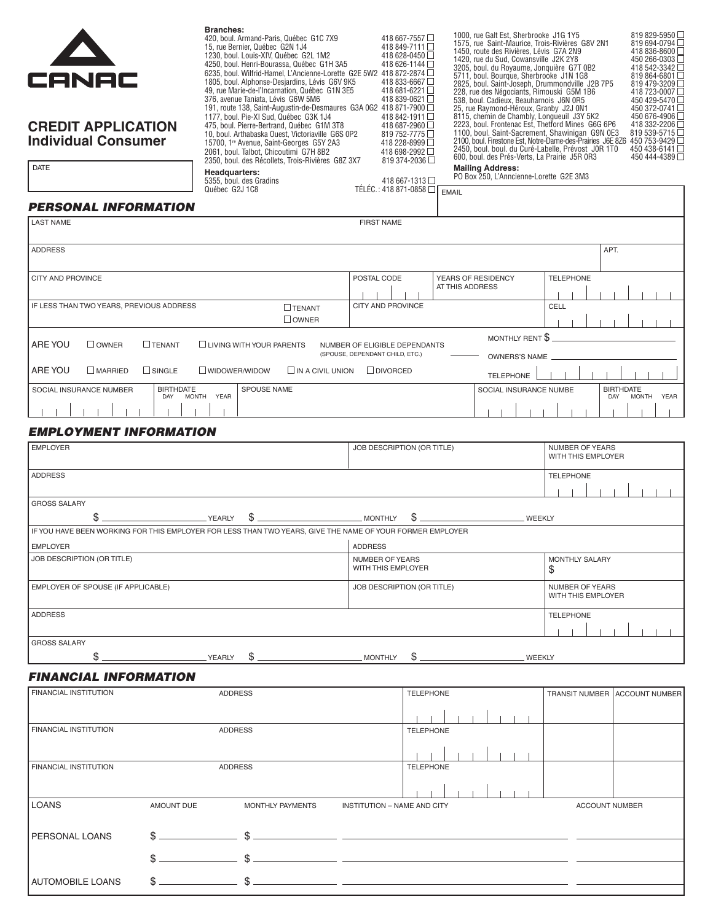| CANAC                                                                                                           |                                         | <b>Branches:</b><br>15, rue Bernier, Québec G2N 1J4<br>1230, boul. Louis-XIV, Québec G2L 1M2<br>376, avenue Taniata, Lévis G6W 5M6<br>1177, boul. Pie-XI Sud, Québec G3K 1J4 | 420, boul. Armand-Paris, Québec G1C 7X9<br>4250, boul. Henri-Bourassa, Québec G1H 3A5<br>6235, boul. Wilfrid-Hamel, L'Ancienne-Lorette G2E 5W2 418 872-2874<br>1805, boul. Alphonse-Desjardins, Lévis G6V 9K5<br>49, rue Marie-de-l'Incarnation, Québec G1N 3E5<br>191, route 138, Saint-Augustin-de-Desmaures G3A 0G2 418 871-7900 |                                                                  | 418 667-7557□<br>418 849-7111 □<br>418 628-0450□<br>418 626-1144□<br>418 833-6667□<br>418 681-6221□<br>418 839-0621<br>418 842-1911□ |                                       |                         |                                              | 1000, rue Galt Est, Sherbrooke J1G 1Y5<br>1575, rue Saint-Maurice, Trois-Rivières G8V 2N1<br>1450, route des Rivières. Lévis G7A 2N9<br>1420, rue du Sud, Cowansville J2K 2Y8<br>3205, boul. du Royaume, Jonquière G7T 0B2<br>5711, boul. Bourque, Sherbrooke J1N 1G8<br>2825, boul. Saint-Joseph, Drummondville J2B 7P5<br>228, rue des Négociants, Rimouski G5M 1B6<br>538, boul. Cadieux, Beauharnois J6N 0R5<br>25, rue Raymond-Héroux, Granby J2J 0N1<br>8115, chemin de Chambly, Longueuil J3Y 5K2<br>2223, boul. Frontenac Est. Thetford Mines G6G 6P6 |                                              |                         | 819 829-5950<br>819 694-0794<br>418 836-8600<br>450 266-0303 L<br>418 542-3342<br>819 864-6801<br>819 479-3209 L<br>418 723-0007<br>450 429-5470<br>450 372-0741 L<br>450 676-4906 |
|-----------------------------------------------------------------------------------------------------------------|-----------------------------------------|------------------------------------------------------------------------------------------------------------------------------------------------------------------------------|-------------------------------------------------------------------------------------------------------------------------------------------------------------------------------------------------------------------------------------------------------------------------------------------------------------------------------------|------------------------------------------------------------------|--------------------------------------------------------------------------------------------------------------------------------------|---------------------------------------|-------------------------|----------------------------------------------|---------------------------------------------------------------------------------------------------------------------------------------------------------------------------------------------------------------------------------------------------------------------------------------------------------------------------------------------------------------------------------------------------------------------------------------------------------------------------------------------------------------------------------------------------------------|----------------------------------------------|-------------------------|------------------------------------------------------------------------------------------------------------------------------------------------------------------------------------|
| <b>CREDIT APPLICATION</b><br><b>Individual Consumer</b><br><b>DATE</b>                                          |                                         | 2061, boul. Talbot, Chicoutimi G7H 8B2                                                                                                                                       | 475, boul. Pierre-Bertrand, Québec G1M 3T8<br>10, boul. Arthabaska Ouest, Victoriaville G6S 0P2<br>15700, 1 <sup>re</sup> Avenue, Saint-Georges G5Y 2A3<br>2350, boul. des Récollets, Trois-Rivières G8Z 3X7                                                                                                                        |                                                                  | 418 687-2960□<br>819 752-7775<br>418 228-8999□<br>418 698-2992<br>819 374-2036□                                                      |                                       | <b>Mailing Address:</b> |                                              | 1100, boul. Saint-Sacrement, Shawinigan G9N 0E3<br>2450, boul. boul. du Curé-Labelle, Prévost J0R 1T0<br>600, boul. des Prés-Verts, La Prairie J5R 0R3                                                                                                                                                                                                                                                                                                                                                                                                        |                                              |                         | 418 332-2206<br>819 539-5715<br>2100, boul. Firestone Est, Notre-Dame-des-Prairies J6E 8Z6 450 753-9429<br>450 438-6141<br>450 444-4389                                            |
|                                                                                                                 |                                         | Headquarters:<br>5355, boul. des Gradins<br>Québec G2J 1C8                                                                                                                   |                                                                                                                                                                                                                                                                                                                                     | TÉLÉC.: 418 871-0858 □                                           | 418 667-1313 □                                                                                                                       |                                       |                         |                                              | PO Box 250, L'Anncienne-Lorette G2E 3M3                                                                                                                                                                                                                                                                                                                                                                                                                                                                                                                       |                                              |                         |                                                                                                                                                                                    |
| <b>PERSONAL INFORMATION</b>                                                                                     |                                         |                                                                                                                                                                              |                                                                                                                                                                                                                                                                                                                                     |                                                                  |                                                                                                                                      | <b>EMAIL</b>                          |                         |                                              |                                                                                                                                                                                                                                                                                                                                                                                                                                                                                                                                                               |                                              |                         |                                                                                                                                                                                    |
| <b>LAST NAME</b>                                                                                                |                                         |                                                                                                                                                                              |                                                                                                                                                                                                                                                                                                                                     | <b>FIRST NAME</b>                                                |                                                                                                                                      |                                       |                         |                                              |                                                                                                                                                                                                                                                                                                                                                                                                                                                                                                                                                               |                                              |                         |                                                                                                                                                                                    |
| <b>ADDRESS</b>                                                                                                  |                                         |                                                                                                                                                                              |                                                                                                                                                                                                                                                                                                                                     |                                                                  |                                                                                                                                      |                                       |                         |                                              |                                                                                                                                                                                                                                                                                                                                                                                                                                                                                                                                                               |                                              | APT.                    |                                                                                                                                                                                    |
| CITY AND PROVINCE                                                                                               |                                         |                                                                                                                                                                              |                                                                                                                                                                                                                                                                                                                                     | POSTAL CODE                                                      |                                                                                                                                      | YEARS OF RESIDENCY<br>AT THIS ADDRESS |                         |                                              | <b>TELEPHONE</b>                                                                                                                                                                                                                                                                                                                                                                                                                                                                                                                                              |                                              |                         |                                                                                                                                                                                    |
| IF LESS THAN TWO YEARS, PREVIOUS ADDRESS                                                                        |                                         |                                                                                                                                                                              | $\Box$ TENANT<br>$\Box$ OWNER                                                                                                                                                                                                                                                                                                       | CITY AND PROVINCE                                                |                                                                                                                                      |                                       |                         |                                              | CELL                                                                                                                                                                                                                                                                                                                                                                                                                                                                                                                                                          |                                              |                         |                                                                                                                                                                                    |
|                                                                                                                 |                                         |                                                                                                                                                                              |                                                                                                                                                                                                                                                                                                                                     |                                                                  |                                                                                                                                      |                                       |                         | MONTHLY RENT \$                              |                                                                                                                                                                                                                                                                                                                                                                                                                                                                                                                                                               |                                              |                         |                                                                                                                                                                                    |
| ARE YOU<br>$\Box$ OWNER                                                                                         | $\Box$ TENANT                           | <b>LIVING WITH YOUR PARENTS</b>                                                                                                                                              |                                                                                                                                                                                                                                                                                                                                     | NUMBER OF ELIGIBLE DEPENDANTS<br>(SPOUSE, DEPENDANT CHILD, ETC.) |                                                                                                                                      |                                       |                         | <b>OWNERS'S NAME</b>                         |                                                                                                                                                                                                                                                                                                                                                                                                                                                                                                                                                               |                                              |                         |                                                                                                                                                                                    |
| ARE YOU<br>$\square$ MARRIED                                                                                    | $\Box$ SINGLE                           | WIDOWER/WIDOW                                                                                                                                                                | $\Box$ IN A CIVIL UNION                                                                                                                                                                                                                                                                                                             | $\Box$ DIVORCED                                                  |                                                                                                                                      |                                       |                         | <b>TELEPHONE</b>                             |                                                                                                                                                                                                                                                                                                                                                                                                                                                                                                                                                               |                                              |                         |                                                                                                                                                                                    |
| SOCIAL INSURANCE NUMBER                                                                                         | <b>BIRTHDATE</b><br><b>MONTH</b><br>DAY | SPOUSE NAME<br>YEAR                                                                                                                                                          |                                                                                                                                                                                                                                                                                                                                     |                                                                  |                                                                                                                                      |                                       |                         |                                              | SOCIAL INSURANCE NUMBE                                                                                                                                                                                                                                                                                                                                                                                                                                                                                                                                        |                                              | <b>BIRTHDATE</b><br>DAY | <b>MONTH</b><br>YEAR                                                                                                                                                               |
|                                                                                                                 |                                         |                                                                                                                                                                              |                                                                                                                                                                                                                                                                                                                                     |                                                                  |                                                                                                                                      |                                       |                         |                                              |                                                                                                                                                                                                                                                                                                                                                                                                                                                                                                                                                               |                                              |                         |                                                                                                                                                                                    |
| <b>EMPLOYMENT INFORMATION</b>                                                                                   |                                         |                                                                                                                                                                              |                                                                                                                                                                                                                                                                                                                                     |                                                                  |                                                                                                                                      |                                       |                         |                                              |                                                                                                                                                                                                                                                                                                                                                                                                                                                                                                                                                               |                                              |                         |                                                                                                                                                                                    |
| <b>EMPLOYER</b>                                                                                                 |                                         |                                                                                                                                                                              |                                                                                                                                                                                                                                                                                                                                     | JOB DESCRIPTION (OR TITLE)                                       |                                                                                                                                      |                                       |                         |                                              |                                                                                                                                                                                                                                                                                                                                                                                                                                                                                                                                                               | <b>NUMBER OF YEARS</b><br>WITH THIS EMPLOYER |                         |                                                                                                                                                                                    |
| <b>ADDRESS</b>                                                                                                  |                                         |                                                                                                                                                                              |                                                                                                                                                                                                                                                                                                                                     |                                                                  |                                                                                                                                      |                                       |                         |                                              | <b>TELEPHONE</b>                                                                                                                                                                                                                                                                                                                                                                                                                                                                                                                                              |                                              |                         |                                                                                                                                                                                    |
|                                                                                                                 |                                         |                                                                                                                                                                              |                                                                                                                                                                                                                                                                                                                                     |                                                                  |                                                                                                                                      |                                       |                         |                                              |                                                                                                                                                                                                                                                                                                                                                                                                                                                                                                                                                               |                                              |                         |                                                                                                                                                                                    |
| <b>GROSS SALARY</b>                                                                                             |                                         |                                                                                                                                                                              |                                                                                                                                                                                                                                                                                                                                     |                                                                  |                                                                                                                                      |                                       |                         |                                              |                                                                                                                                                                                                                                                                                                                                                                                                                                                                                                                                                               |                                              |                         |                                                                                                                                                                                    |
| \$<br>IF YOU HAVE BEEN WORKING FOR THIS EMPLOYER FOR LESS THAN TWO YEARS, GIVE THE NAME OF YOUR FORMER EMPLOYER |                                         | \$<br>YEARLY                                                                                                                                                                 |                                                                                                                                                                                                                                                                                                                                     | MONTHLY                                                          | \$                                                                                                                                   |                                       |                         | <b>WEEKLY</b>                                |                                                                                                                                                                                                                                                                                                                                                                                                                                                                                                                                                               |                                              |                         |                                                                                                                                                                                    |
| <b>EMPLOYER</b>                                                                                                 |                                         |                                                                                                                                                                              |                                                                                                                                                                                                                                                                                                                                     | <b>ADDRESS</b>                                                   |                                                                                                                                      |                                       |                         |                                              |                                                                                                                                                                                                                                                                                                                                                                                                                                                                                                                                                               |                                              |                         |                                                                                                                                                                                    |
| JOB DESCRIPTION (OR TITLE)                                                                                      |                                         |                                                                                                                                                                              |                                                                                                                                                                                                                                                                                                                                     | <b>NUMBER OF YEARS</b><br>WITH THIS EMPLOYER                     |                                                                                                                                      |                                       |                         |                                              | \$                                                                                                                                                                                                                                                                                                                                                                                                                                                                                                                                                            | MONTHLY SALARY                               |                         |                                                                                                                                                                                    |
| EMPLOYER OF SPOUSE (IF APPLICABLE)                                                                              |                                         |                                                                                                                                                                              |                                                                                                                                                                                                                                                                                                                                     | JOB DESCRIPTION (OR TITLE)                                       |                                                                                                                                      |                                       |                         | <b>NUMBER OF YEARS</b><br>WITH THIS EMPLOYER |                                                                                                                                                                                                                                                                                                                                                                                                                                                                                                                                                               |                                              |                         |                                                                                                                                                                                    |
| <b>ADDRESS</b>                                                                                                  |                                         |                                                                                                                                                                              |                                                                                                                                                                                                                                                                                                                                     |                                                                  |                                                                                                                                      |                                       |                         |                                              | <b>TELEPHONE</b>                                                                                                                                                                                                                                                                                                                                                                                                                                                                                                                                              |                                              |                         |                                                                                                                                                                                    |
| <b>GROSS SALARY</b><br>\$                                                                                       |                                         | $$\mathsf s$$ .<br>YEARLY                                                                                                                                                    |                                                                                                                                                                                                                                                                                                                                     | MONTHLY                                                          | \$                                                                                                                                   |                                       |                         | <b>WEEKLY</b>                                |                                                                                                                                                                                                                                                                                                                                                                                                                                                                                                                                                               |                                              |                         |                                                                                                                                                                                    |
| <b>FINANCIAL INFORMATION</b>                                                                                    |                                         |                                                                                                                                                                              |                                                                                                                                                                                                                                                                                                                                     |                                                                  |                                                                                                                                      |                                       |                         |                                              |                                                                                                                                                                                                                                                                                                                                                                                                                                                                                                                                                               |                                              |                         |                                                                                                                                                                                    |
| FINANCIAL INSTITUTION                                                                                           |                                         | <b>ADDRESS</b>                                                                                                                                                               |                                                                                                                                                                                                                                                                                                                                     |                                                                  | <b>TELEPHONE</b>                                                                                                                     |                                       |                         |                                              |                                                                                                                                                                                                                                                                                                                                                                                                                                                                                                                                                               | <b>TRANSIT NUMBER</b>                        |                         | <b>ACCOUNT NUMBER</b>                                                                                                                                                              |
| <b>FINANCIAL INSTITUTION</b>                                                                                    |                                         | <b>ADDRESS</b>                                                                                                                                                               |                                                                                                                                                                                                                                                                                                                                     |                                                                  | <b>TELEPHONE</b>                                                                                                                     |                                       |                         |                                              |                                                                                                                                                                                                                                                                                                                                                                                                                                                                                                                                                               |                                              |                         |                                                                                                                                                                                    |
| <b>FINANCIAL INSTITUTION</b>                                                                                    |                                         | <b>ADDRESS</b>                                                                                                                                                               |                                                                                                                                                                                                                                                                                                                                     |                                                                  | <b>TELEPHONE</b>                                                                                                                     |                                       |                         |                                              |                                                                                                                                                                                                                                                                                                                                                                                                                                                                                                                                                               |                                              |                         |                                                                                                                                                                                    |
|                                                                                                                 |                                         |                                                                                                                                                                              |                                                                                                                                                                                                                                                                                                                                     |                                                                  |                                                                                                                                      |                                       |                         |                                              |                                                                                                                                                                                                                                                                                                                                                                                                                                                                                                                                                               |                                              |                         |                                                                                                                                                                                    |
| <b>LOANS</b>                                                                                                    | AMOUNT DUE                              |                                                                                                                                                                              | MONTHLY PAYMENTS                                                                                                                                                                                                                                                                                                                    | <b>INSTITUTION - NAME AND CITY</b>                               |                                                                                                                                      |                                       |                         |                                              |                                                                                                                                                                                                                                                                                                                                                                                                                                                                                                                                                               | <b>ACCOUNT NUMBER</b>                        |                         |                                                                                                                                                                                    |
|                                                                                                                 |                                         |                                                                                                                                                                              |                                                                                                                                                                                                                                                                                                                                     |                                                                  |                                                                                                                                      |                                       |                         |                                              |                                                                                                                                                                                                                                                                                                                                                                                                                                                                                                                                                               |                                              |                         |                                                                                                                                                                                    |
| <b>PERSONAL LOANS</b>                                                                                           | S                                       |                                                                                                                                                                              | <u> 1989 - John Stein, mars and de Britain (b. 1989)</u>                                                                                                                                                                                                                                                                            |                                                                  |                                                                                                                                      |                                       |                         |                                              |                                                                                                                                                                                                                                                                                                                                                                                                                                                                                                                                                               |                                              |                         |                                                                                                                                                                                    |
|                                                                                                                 | \$                                      |                                                                                                                                                                              | <u> 1989 - Johann John Stone, mars eta biztanleria (</u>                                                                                                                                                                                                                                                                            |                                                                  |                                                                                                                                      |                                       |                         |                                              |                                                                                                                                                                                                                                                                                                                                                                                                                                                                                                                                                               |                                              |                         |                                                                                                                                                                                    |
| <b>AUTOMOBILE LOANS</b>                                                                                         |                                         |                                                                                                                                                                              |                                                                                                                                                                                                                                                                                                                                     |                                                                  |                                                                                                                                      |                                       |                         |                                              |                                                                                                                                                                                                                                                                                                                                                                                                                                                                                                                                                               |                                              |                         |                                                                                                                                                                                    |
|                                                                                                                 |                                         |                                                                                                                                                                              |                                                                                                                                                                                                                                                                                                                                     |                                                                  |                                                                                                                                      |                                       |                         |                                              |                                                                                                                                                                                                                                                                                                                                                                                                                                                                                                                                                               |                                              |                         |                                                                                                                                                                                    |